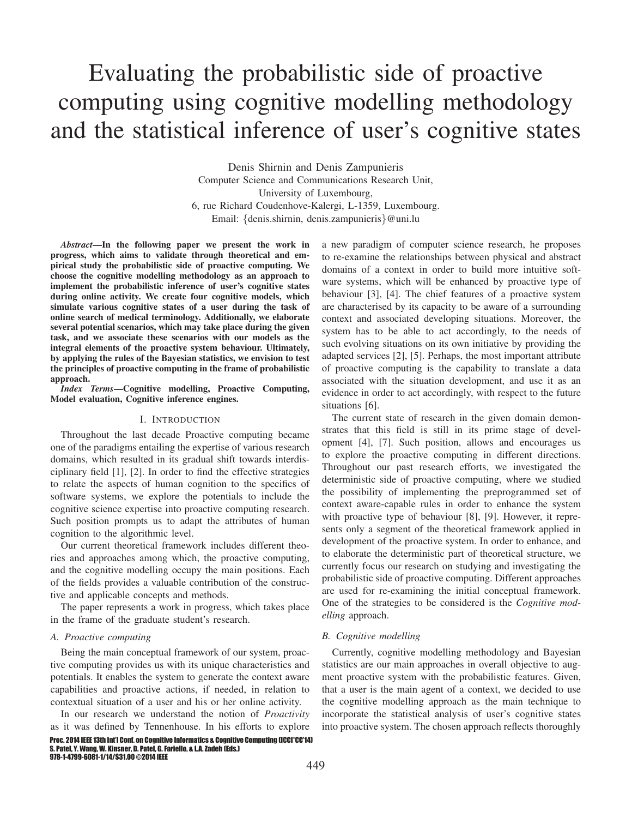# Evaluating the probabilistic side of proactive computing using cognitive modelling methodology and the statistical inference of user's cognitive states

Denis Shirnin and Denis Zampunieris Computer Science and Communications Research Unit, University of Luxembourg, 6, rue Richard Coudenhove-Kalergi, L-1359, Luxembourg. Email: {denis.shirnin, denis.zampunieris}@uni.lu

*Abstract*—In the following paper we present the work in progress, which aims to validate through theoretical and empirical study the probabilistic side of proactive computing. We choose the cognitive modelling methodology as an approach to implement the probabilistic inference of user's cognitive states during online activity. We create four cognitive models, which simulate various cognitive states of a user during the task of online search of medical terminology. Additionally, we elaborate several potential scenarios, which may take place during the given task, and we associate these scenarios with our models as the integral elements of the proactive system behaviour. Ultimately, by applying the rules of the Bayesian statistics, we envision to test the principles of proactive computing in the frame of probabilistic approach.

*Index Terms*—Cognitive modelling, Proactive Computing, Model evaluation, Cognitive inference engines.

## I. INTRODUCTION

Throughout the last decade Proactive computing became one of the paradigms entailing the expertise of various research domains, which resulted in its gradual shift towards interdisciplinary field [1], [2]. In order to find the effective strategies to relate the aspects of human cognition to the specifics of software systems, we explore the potentials to include the cognitive science expertise into proactive computing research. Such position prompts us to adapt the attributes of human cognition to the algorithmic level.

Our current theoretical framework includes different theories and approaches among which, the proactive computing, and the cognitive modelling occupy the main positions. Each of the fields provides a valuable contribution of the constructive and applicable concepts and methods.

The paper represents a work in progress, which takes place in the frame of the graduate student's research.

#### *A. Proactive computing*

Being the main conceptual framework of our system, proactive computing provides us with its unique characteristics and potentials. It enables the system to generate the context aware capabilities and proactive actions, if needed, in relation to contextual situation of a user and his or her online activity.

In our research we understand the notion of *Proactivity* as it was defined by Tennenhouse. In his efforts to explore Proc. 2014 IEEE 13th Int'l Conf. on Cognitive Informatics & Cognitive Computing (ICCI\*CC\*14)

S. Patel, Y. Wang, W. Kinsner, D. Patel, G. Fariello, & L.A. Zadeh (Eds.) 978-1-4799-6081-1/14/\$31.00 ©2014 IEEE

a new paradigm of computer science research, he proposes to re-examine the relationships between physical and abstract domains of a context in order to build more intuitive software systems, which will be enhanced by proactive type of behaviour [3], [4]. The chief features of a proactive system are characterised by its capacity to be aware of a surrounding context and associated developing situations. Moreover, the system has to be able to act accordingly, to the needs of such evolving situations on its own initiative by providing the adapted services [2], [5]. Perhaps, the most important attribute of proactive computing is the capability to translate a data associated with the situation development, and use it as an evidence in order to act accordingly, with respect to the future situations [6].

The current state of research in the given domain demonstrates that this field is still in its prime stage of development [4], [7]. Such position, allows and encourages us to explore the proactive computing in different directions. Throughout our past research efforts, we investigated the deterministic side of proactive computing, where we studied the possibility of implementing the preprogrammed set of context aware-capable rules in order to enhance the system with proactive type of behaviour [8], [9]. However, it represents only a segment of the theoretical framework applied in development of the proactive system. In order to enhance, and to elaborate the deterministic part of theoretical structure, we currently focus our research on studying and investigating the probabilistic side of proactive computing. Different approaches are used for re-examining the initial conceptual framework. One of the strategies to be considered is the *Cognitive modelling* approach.

#### *B. Cognitive modelling*

Currently, cognitive modelling methodology and Bayesian statistics are our main approaches in overall objective to augment proactive system with the probabilistic features. Given, that a user is the main agent of a context, we decided to use the cognitive modelling approach as the main technique to incorporate the statistical analysis of user's cognitive states into proactive system. The chosen approach reflects thoroughly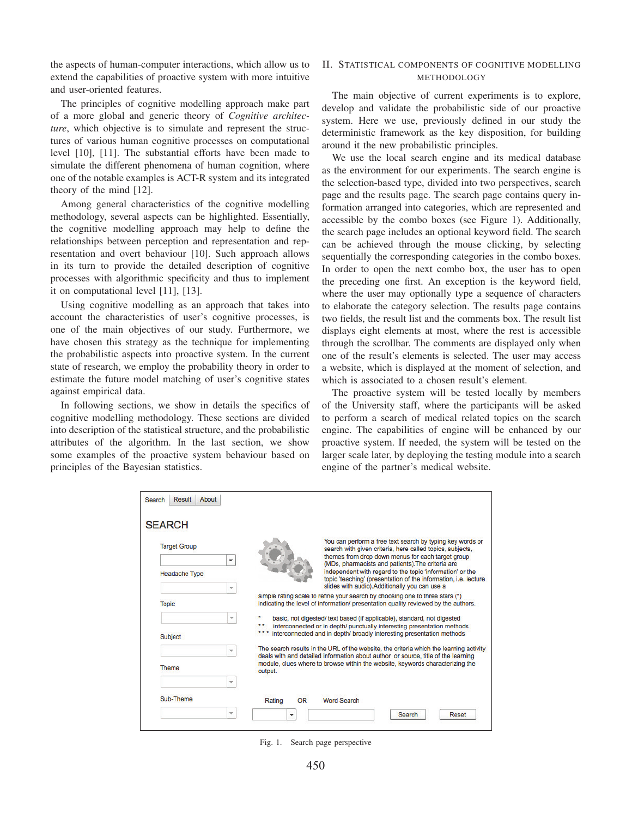the aspects of human-computer interactions, which allow us to extend the capabilities of proactive system with more intuitive and user-oriented features.

The principles of cognitive modelling approach make part of a more global and generic theory of *Cognitive architecture*, which objective is to simulate and represent the structures of various human cognitive processes on computational level [10], [11]. The substantial efforts have been made to simulate the different phenomena of human cognition, where one of the notable examples is ACT-R system and its integrated theory of the mind [12].

Among general characteristics of the cognitive modelling methodology, several aspects can be highlighted. Essentially, the cognitive modelling approach may help to define the relationships between perception and representation and representation and overt behaviour [10]. Such approach allows in its turn to provide the detailed description of cognitive processes with algorithmic specificity and thus to implement it on computational level [11], [13].

Using cognitive modelling as an approach that takes into account the characteristics of user's cognitive processes, is one of the main objectives of our study. Furthermore, we have chosen this strategy as the technique for implementing the probabilistic aspects into proactive system. In the current state of research, we employ the probability theory in order to estimate the future model matching of user's cognitive states against empirical data.

In following sections, we show in details the specifics of cognitive modelling methodology. These sections are divided into description of the statistical structure, and the probabilistic attributes of the algorithm. In the last section, we show some examples of the proactive system behaviour based on principles of the Bayesian statistics.

# II. STATISTICAL COMPONENTS OF COGNITIVE MODELLING METHODOLOGY

The main objective of current experiments is to explore, develop and validate the probabilistic side of our proactive system. Here we use, previously defined in our study the deterministic framework as the key disposition, for building around it the new probabilistic principles.

We use the local search engine and its medical database as the environment for our experiments. The search engine is the selection-based type, divided into two perspectives, search page and the results page. The search page contains query information arranged into categories, which are represented and accessible by the combo boxes (see Figure 1). Additionally, the search page includes an optional keyword field. The search can be achieved through the mouse clicking, by selecting sequentially the corresponding categories in the combo boxes. In order to open the next combo box, the user has to open the preceding one first. An exception is the keyword field, where the user may optionally type a sequence of characters to elaborate the category selection. The results page contains two fields, the result list and the comments box. The result list displays eight elements at most, where the rest is accessible through the scrollbar. The comments are displayed only when one of the result's elements is selected. The user may access a website, which is displayed at the moment of selection, and which is associated to a chosen result's element.

The proactive system will be tested locally by members of the University staff, where the participants will be asked to perform a search of medical related topics on the search engine. The capabilities of engine will be enhanced by our proactive system. If needed, the system will be tested on the larger scale later, by deploying the testing module into a search engine of the partner's medical website.

| <b>SEARCH</b>                                                                |                                                                                                                                                                                                                                                                                                                                                                                                                   |
|------------------------------------------------------------------------------|-------------------------------------------------------------------------------------------------------------------------------------------------------------------------------------------------------------------------------------------------------------------------------------------------------------------------------------------------------------------------------------------------------------------|
| <b>Target Group</b><br>▼<br><b>Headache Type</b><br>$\overline{\phantom{a}}$ | You can perform a free text search by typing key words or<br>search with given criteria, here called topics, subjects,<br>themes from drop down menus for each target group<br>(MDs, pharmacists and patients). The criteria are<br>independent with regard to the topic 'information' or the<br>topic 'teaching' (presentation of the information, i.e. lecture<br>slides with audio).Additionally you can use a |
| <b>Topic</b>                                                                 | simple rating scale to refine your search by choosing one to three stars (*)<br>indicating the level of information/ presentation quality reviewed by the authors.                                                                                                                                                                                                                                                |
| ₩<br>Subject                                                                 | basic, not digested/ text based (if applicable), standard, not digested<br>interconnected or in depth/ punctually interesting presentation methods<br>interconnected and in depth/ broadly interesting presentation methods                                                                                                                                                                                       |
| v<br><b>Theme</b>                                                            | The search results in the URL of the website, the criteria which the learning activity<br>deals with and detailed information about author or source, title of the learning<br>module, clues where to browse within the website, keywords characterizing the<br>output.                                                                                                                                           |
| $\overline{\phantom{a}}$                                                     |                                                                                                                                                                                                                                                                                                                                                                                                                   |
| Sub-Theme                                                                    | <b>Word Search</b><br><b>OR</b><br>Rating                                                                                                                                                                                                                                                                                                                                                                         |

Fig. 1. Search page perspective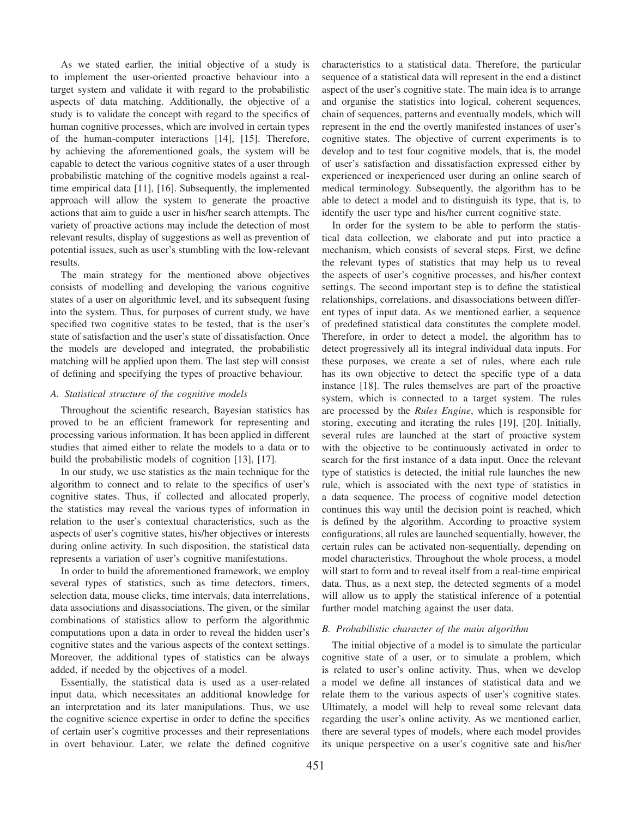As we stated earlier, the initial objective of a study is to implement the user-oriented proactive behaviour into a target system and validate it with regard to the probabilistic aspects of data matching. Additionally, the objective of a study is to validate the concept with regard to the specifics of human cognitive processes, which are involved in certain types of the human-computer interactions [14], [15]. Therefore, by achieving the aforementioned goals, the system will be capable to detect the various cognitive states of a user through probabilistic matching of the cognitive models against a realtime empirical data [11], [16]. Subsequently, the implemented approach will allow the system to generate the proactive actions that aim to guide a user in his/her search attempts. The variety of proactive actions may include the detection of most relevant results, display of suggestions as well as prevention of potential issues, such as user's stumbling with the low-relevant results.

The main strategy for the mentioned above objectives consists of modelling and developing the various cognitive states of a user on algorithmic level, and its subsequent fusing into the system. Thus, for purposes of current study, we have specified two cognitive states to be tested, that is the user's state of satisfaction and the user's state of dissatisfaction. Once the models are developed and integrated, the probabilistic matching will be applied upon them. The last step will consist of defining and specifying the types of proactive behaviour.

### *A. Statistical structure of the cognitive models*

Throughout the scientific research, Bayesian statistics has proved to be an efficient framework for representing and processing various information. It has been applied in different studies that aimed either to relate the models to a data or to build the probabilistic models of cognition [13], [17].

In our study, we use statistics as the main technique for the algorithm to connect and to relate to the specifics of user's cognitive states. Thus, if collected and allocated properly, the statistics may reveal the various types of information in relation to the user's contextual characteristics, such as the aspects of user's cognitive states, his/her objectives or interests during online activity. In such disposition, the statistical data represents a variation of user's cognitive manifestations.

In order to build the aforementioned framework, we employ several types of statistics, such as time detectors, timers, selection data, mouse clicks, time intervals, data interrelations, data associations and disassociations. The given, or the similar combinations of statistics allow to perform the algorithmic computations upon a data in order to reveal the hidden user's cognitive states and the various aspects of the context settings. Moreover, the additional types of statistics can be always added, if needed by the objectives of a model.

Essentially, the statistical data is used as a user-related input data, which necessitates an additional knowledge for an interpretation and its later manipulations. Thus, we use the cognitive science expertise in order to define the specifics of certain user's cognitive processes and their representations in overt behaviour. Later, we relate the defined cognitive characteristics to a statistical data. Therefore, the particular sequence of a statistical data will represent in the end a distinct aspect of the user's cognitive state. The main idea is to arrange and organise the statistics into logical, coherent sequences, chain of sequences, patterns and eventually models, which will represent in the end the overtly manifested instances of user's cognitive states. The objective of current experiments is to develop and to test four cognitive models, that is, the model of user's satisfaction and dissatisfaction expressed either by experienced or inexperienced user during an online search of medical terminology. Subsequently, the algorithm has to be able to detect a model and to distinguish its type, that is, to identify the user type and his/her current cognitive state.

In order for the system to be able to perform the statistical data collection, we elaborate and put into practice a mechanism, which consists of several steps. First, we define the relevant types of statistics that may help us to reveal the aspects of user's cognitive processes, and his/her context settings. The second important step is to define the statistical relationships, correlations, and disassociations between different types of input data. As we mentioned earlier, a sequence of predefined statistical data constitutes the complete model. Therefore, in order to detect a model, the algorithm has to detect progressively all its integral individual data inputs. For these purposes, we create a set of rules, where each rule has its own objective to detect the specific type of a data instance [18]. The rules themselves are part of the proactive system, which is connected to a target system. The rules are processed by the *Rules Engine*, which is responsible for storing, executing and iterating the rules [19], [20]. Initially, several rules are launched at the start of proactive system with the objective to be continuously activated in order to search for the first instance of a data input. Once the relevant type of statistics is detected, the initial rule launches the new rule, which is associated with the next type of statistics in a data sequence. The process of cognitive model detection continues this way until the decision point is reached, which is defined by the algorithm. According to proactive system configurations, all rules are launched sequentially, however, the certain rules can be activated non-sequentially, depending on model characteristics. Throughout the whole process, a model will start to form and to reveal itself from a real-time empirical data. Thus, as a next step, the detected segments of a model will allow us to apply the statistical inference of a potential further model matching against the user data.

## *B. Probabilistic character of the main algorithm*

The initial objective of a model is to simulate the particular cognitive state of a user, or to simulate a problem, which is related to user's online activity. Thus, when we develop a model we define all instances of statistical data and we relate them to the various aspects of user's cognitive states. Ultimately, a model will help to reveal some relevant data regarding the user's online activity. As we mentioned earlier, there are several types of models, where each model provides its unique perspective on a user's cognitive sate and his/her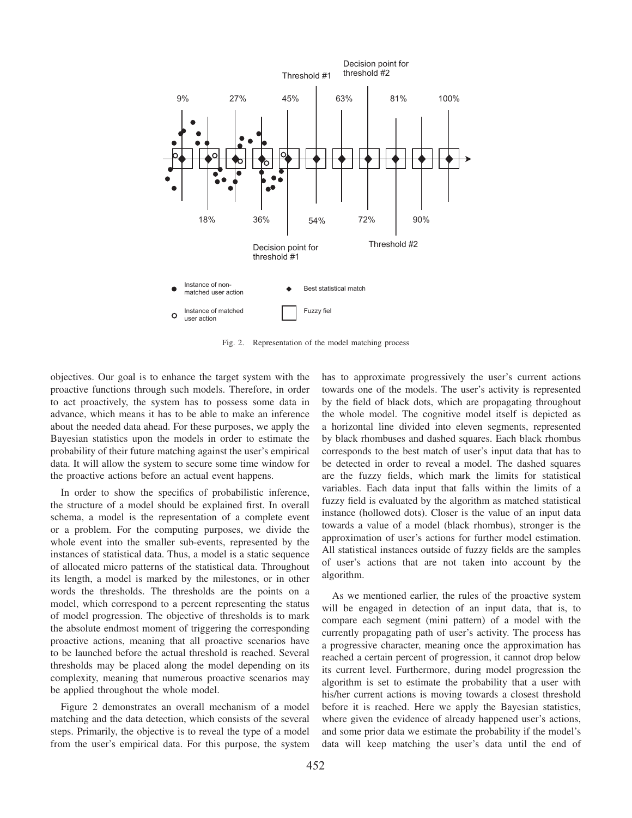

Fig. 2. Representation of the model matching process

objectives. Our goal is to enhance the target system with the proactive functions through such models. Therefore, in order to act proactively, the system has to possess some data in advance, which means it has to be able to make an inference about the needed data ahead. For these purposes, we apply the Bayesian statistics upon the models in order to estimate the probability of their future matching against the user's empirical data. It will allow the system to secure some time window for the proactive actions before an actual event happens.

In order to show the specifics of probabilistic inference, the structure of a model should be explained first. In overall schema, a model is the representation of a complete event or a problem. For the computing purposes, we divide the whole event into the smaller sub-events, represented by the instances of statistical data. Thus, a model is a static sequence of allocated micro patterns of the statistical data. Throughout its length, a model is marked by the milestones, or in other words the thresholds. The thresholds are the points on a model, which correspond to a percent representing the status of model progression. The objective of thresholds is to mark the absolute endmost moment of triggering the corresponding proactive actions, meaning that all proactive scenarios have to be launched before the actual threshold is reached. Several thresholds may be placed along the model depending on its complexity, meaning that numerous proactive scenarios may be applied throughout the whole model.

Figure 2 demonstrates an overall mechanism of a model matching and the data detection, which consists of the several steps. Primarily, the objective is to reveal the type of a model from the user's empirical data. For this purpose, the system has to approximate progressively the user's current actions towards one of the models. The user's activity is represented by the field of black dots, which are propagating throughout the whole model. The cognitive model itself is depicted as a horizontal line divided into eleven segments, represented by black rhombuses and dashed squares. Each black rhombus corresponds to the best match of user's input data that has to be detected in order to reveal a model. The dashed squares are the fuzzy fields, which mark the limits for statistical variables. Each data input that falls within the limits of a fuzzy field is evaluated by the algorithm as matched statistical instance (hollowed dots). Closer is the value of an input data towards a value of a model (black rhombus), stronger is the approximation of user's actions for further model estimation. All statistical instances outside of fuzzy fields are the samples of user's actions that are not taken into account by the algorithm.

As we mentioned earlier, the rules of the proactive system will be engaged in detection of an input data, that is, to compare each segment (mini pattern) of a model with the currently propagating path of user's activity. The process has a progressive character, meaning once the approximation has reached a certain percent of progression, it cannot drop below its current level. Furthermore, during model progression the algorithm is set to estimate the probability that a user with his/her current actions is moving towards a closest threshold before it is reached. Here we apply the Bayesian statistics, where given the evidence of already happened user's actions, and some prior data we estimate the probability if the model's data will keep matching the user's data until the end of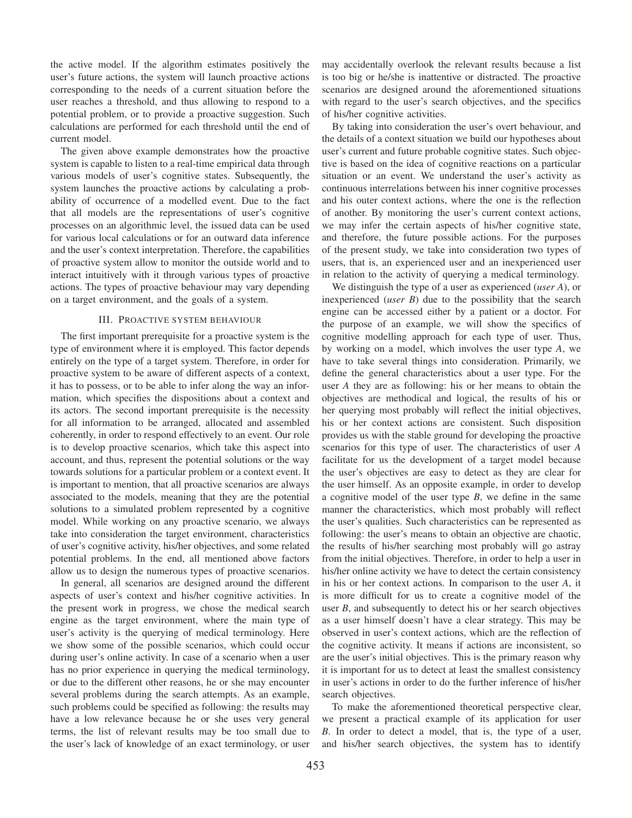the active model. If the algorithm estimates positively the user's future actions, the system will launch proactive actions corresponding to the needs of a current situation before the user reaches a threshold, and thus allowing to respond to a potential problem, or to provide a proactive suggestion. Such calculations are performed for each threshold until the end of current model.

The given above example demonstrates how the proactive system is capable to listen to a real-time empirical data through various models of user's cognitive states. Subsequently, the system launches the proactive actions by calculating a probability of occurrence of a modelled event. Due to the fact that all models are the representations of user's cognitive processes on an algorithmic level, the issued data can be used for various local calculations or for an outward data inference and the user's context interpretation. Therefore, the capabilities of proactive system allow to monitor the outside world and to interact intuitively with it through various types of proactive actions. The types of proactive behaviour may vary depending on a target environment, and the goals of a system.

#### III. PROACTIVE SYSTEM BEHAVIOUR

The first important prerequisite for a proactive system is the type of environment where it is employed. This factor depends entirely on the type of a target system. Therefore, in order for proactive system to be aware of different aspects of a context, it has to possess, or to be able to infer along the way an information, which specifies the dispositions about a context and its actors. The second important prerequisite is the necessity for all information to be arranged, allocated and assembled coherently, in order to respond effectively to an event. Our role is to develop proactive scenarios, which take this aspect into account, and thus, represent the potential solutions or the way towards solutions for a particular problem or a context event. It is important to mention, that all proactive scenarios are always associated to the models, meaning that they are the potential solutions to a simulated problem represented by a cognitive model. While working on any proactive scenario, we always take into consideration the target environment, characteristics of user's cognitive activity, his/her objectives, and some related potential problems. In the end, all mentioned above factors allow us to design the numerous types of proactive scenarios.

In general, all scenarios are designed around the different aspects of user's context and his/her cognitive activities. In the present work in progress, we chose the medical search engine as the target environment, where the main type of user's activity is the querying of medical terminology. Here we show some of the possible scenarios, which could occur during user's online activity. In case of a scenario when a user has no prior experience in querying the medical terminology, or due to the different other reasons, he or she may encounter several problems during the search attempts. As an example, such problems could be specified as following: the results may have a low relevance because he or she uses very general terms, the list of relevant results may be too small due to the user's lack of knowledge of an exact terminology, or user

may accidentally overlook the relevant results because a list is too big or he/she is inattentive or distracted. The proactive scenarios are designed around the aforementioned situations with regard to the user's search objectives, and the specifics of his/her cognitive activities.

By taking into consideration the user's overt behaviour, and the details of a context situation we build our hypotheses about user's current and future probable cognitive states. Such objective is based on the idea of cognitive reactions on a particular situation or an event. We understand the user's activity as continuous interrelations between his inner cognitive processes and his outer context actions, where the one is the reflection of another. By monitoring the user's current context actions, we may infer the certain aspects of his/her cognitive state, and therefore, the future possible actions. For the purposes of the present study, we take into consideration two types of users, that is, an experienced user and an inexperienced user in relation to the activity of querying a medical terminology.

We distinguish the type of a user as experienced (*user A*), or inexperienced (*user B*) due to the possibility that the search engine can be accessed either by a patient or a doctor. For the purpose of an example, we will show the specifics of cognitive modelling approach for each type of user. Thus, by working on a model, which involves the user type *A*, we have to take several things into consideration. Primarily, we define the general characteristics about a user type. For the user *A* they are as following: his or her means to obtain the objectives are methodical and logical, the results of his or her querying most probably will reflect the initial objectives, his or her context actions are consistent. Such disposition provides us with the stable ground for developing the proactive scenarios for this type of user. The characteristics of user *A* facilitate for us the development of a target model because the user's objectives are easy to detect as they are clear for the user himself. As an opposite example, in order to develop a cognitive model of the user type *B*, we define in the same manner the characteristics, which most probably will reflect the user's qualities. Such characteristics can be represented as following: the user's means to obtain an objective are chaotic, the results of his/her searching most probably will go astray from the initial objectives. Therefore, in order to help a user in his/her online activity we have to detect the certain consistency in his or her context actions. In comparison to the user *A*, it is more difficult for us to create a cognitive model of the user *B*, and subsequently to detect his or her search objectives as a user himself doesn't have a clear strategy. This may be observed in user's context actions, which are the reflection of the cognitive activity. It means if actions are inconsistent, so are the user's initial objectives. This is the primary reason why it is important for us to detect at least the smallest consistency in user's actions in order to do the further inference of his/her search objectives.

To make the aforementioned theoretical perspective clear, we present a practical example of its application for user *B*. In order to detect a model, that is, the type of a user, and his/her search objectives, the system has to identify